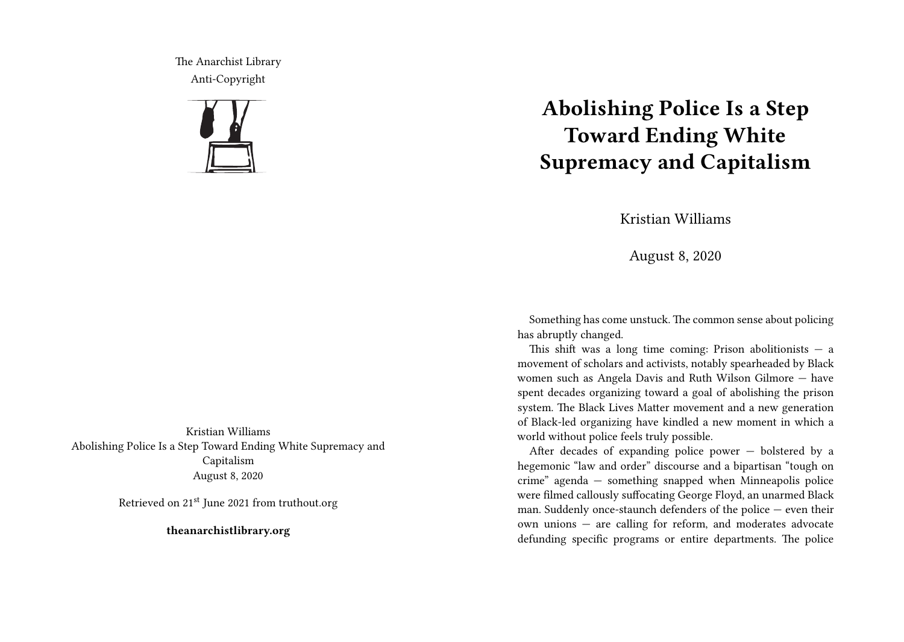The Anarchist Library Anti-Copyright



**Abolishing Police Is a Step Toward Ending White Supremacy and Capitalism**

Kristian Williams

August 8, 2020

Something has come unstuck. The common sense about policing has abruptly changed.

This shift was a long time coming: Prison abolitionists  $-$  a movement of scholars and activists, notably spearheaded by Black women such as Angela Davis and Ruth Wilson Gilmore — have spent decades organizing toward a goal of abolishing the prison system. The Black Lives Matter movement and a new generation of Black-led organizing have kindled a new moment in which a world without police feels truly possible.

After decades of expanding police power — bolstered by a hegemonic "law and order" discourse and a bipartisan "tough on crime" agenda — something snapped when Minneapolis police were filmed callously suffocating George Floyd, an unarmed Black man. Suddenly once-staunch defenders of the police — even their own unions — are calling for reform, and moderates advocate defunding specific programs or entire departments. The police

Kristian Williams Abolishing Police Is a Step Toward Ending White Supremacy and Capitalism August 8, 2020

Retrieved on 21st June 2021 from truthout.org

**theanarchistlibrary.org**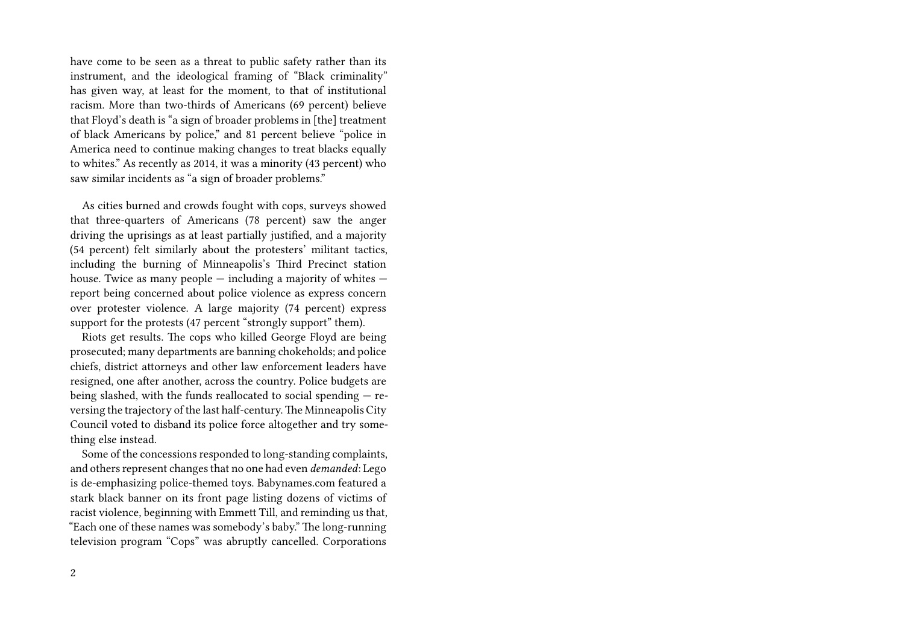have come to be seen as a threat to public safety rather than its instrument, and the ideological framing of "Black criminality" has given way, at least for the moment, to that of institutional racism. More than two-thirds of Americans (69 percent) believe that Floyd's death is "a sign of broader problems in [the] treatment of black Americans by police," and 81 percent believe "police in America need to continue making changes to treat blacks equally to whites." As recently as 2014, it was a minority (43 percent) who saw similar incidents as "a sign of broader problems."

As cities burned and crowds fought with cops, surveys showed that three-quarters of Americans (78 percent) saw the anger driving the uprisings as at least partially justified, and a majority (54 percent) felt similarly about the protesters' militant tactics, including the burning of Minneapolis's Third Precinct station house. Twice as many people — including a majority of whites report being concerned about police violence as express concern over protester violence. A large majority (74 percent) express support for the protests (47 percent "strongly support" them).

Riots get results. The cops who killed George Floyd are being prosecuted; many departments are banning chokeholds; and police chiefs, district attorneys and other law enforcement leaders have resigned, one after another, across the country. Police budgets are being slashed, with the funds reallocated to social spending — reversing the trajectory of the last half-century.The Minneapolis City Council voted to disband its police force altogether and try something else instead.

Some of the concessions responded to long-standing complaints, and others represent changes that no one had even *demanded*: Lego is de-emphasizing police-themed toys. Babynames.com featured a stark black banner on its front page listing dozens of victims of racist violence, beginning with Emmett Till, and reminding us that, "Each one of these names was somebody's baby." The long-running television program "Cops" was abruptly cancelled. Corporations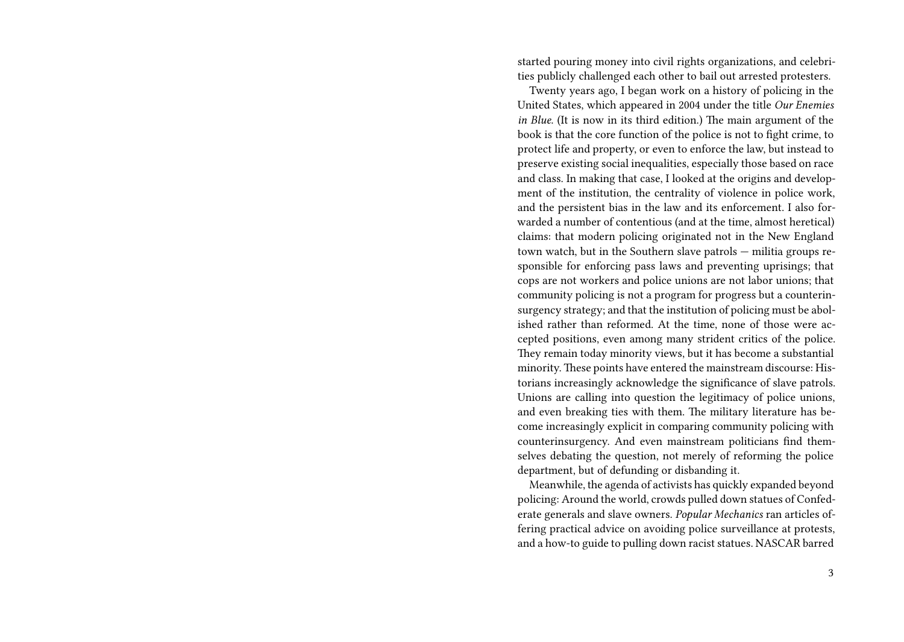started pouring money into civil rights organizations, and celebrities publicly challenged each other to bail out arrested protesters.

Twenty years ago, I began work on a history of policing in the United States, which appeared in 2004 under the title *Our Enemies in Blue*. (It is now in its third edition.) The main argument of the book is that the core function of the police is not to fight crime, to protect life and property, or even to enforce the law, but instead to preserve existing social inequalities, especially those based on race and class. In making that case, I looked at the origins and development of the institution, the centrality of violence in police work, and the persistent bias in the law and its enforcement. I also forwarded a number of contentious (and at the time, almost heretical) claims: that modern policing originated not in the New England town watch, but in the Southern slave patrols — militia groups responsible for enforcing pass laws and preventing uprisings; that cops are not workers and police unions are not labor unions; that community policing is not a program for progress but a counterinsurgency strategy; and that the institution of policing must be abolished rather than reformed. At the time, none of those were accepted positions, even among many strident critics of the police. They remain today minority views, but it has become a substantial minority. These points have entered the mainstream discourse: Historians increasingly acknowledge the significance of slave patrols. Unions are calling into question the legitimacy of police unions, and even breaking ties with them. The military literature has become increasingly explicit in comparing community policing with counterinsurgency. And even mainstream politicians find themselves debating the question, not merely of reforming the police department, but of defunding or disbanding it.

Meanwhile, the agenda of activists has quickly expanded beyond policing: Around the world, crowds pulled down statues of Confederate generals and slave owners. *Popular Mechanics* ran articles offering practical advice on avoiding police surveillance at protests, and a how-to guide to pulling down racist statues. NASCAR barred